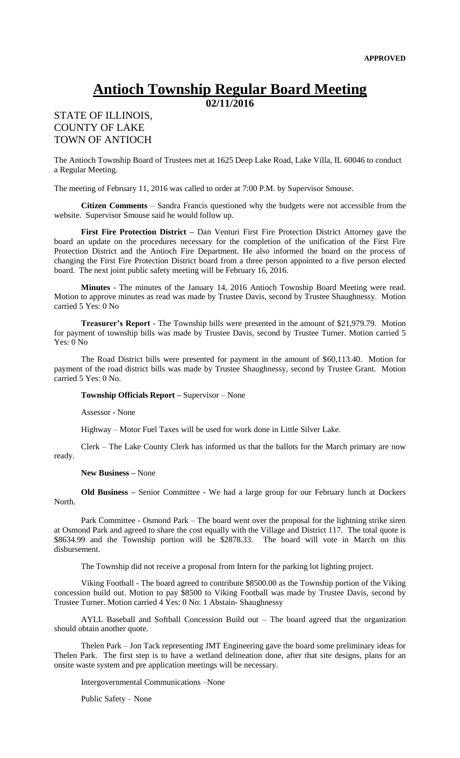## **Antioch Township Regular Board Meeting**

**02/11/2016**

## STATE OF ILLINOIS, COUNTY OF LAKE TOWN OF ANTIOCH

The Antioch Township Board of Trustees met at 1625 Deep Lake Road, Lake Villa, IL 60046 to conduct a Regular Meeting.

The meeting of February 11, 2016 was called to order at 7:00 P.M. by Supervisor Smouse.

**Citizen Comments** – Sandra Francis questioned why the budgets were not accessible from the website. Supervisor Smouse said he would follow up.

**First Fire Protection District –** Dan Venturi First Fire Protection District Attorney gave the board an update on the procedures necessary for the completion of the unification of the First Fire Protection District and the Antioch Fire Department. He also informed the board on the process of changing the First Fire Protection District board from a three person appointed to a five person elected board. The next joint public safety meeting will be February 16, 2016.

**Minutes** - The minutes of the January 14, 2016 Antioch Township Board Meeting were read. Motion to approve minutes as read was made by Trustee Davis, second by Trustee Shaughnessy. Motion carried 5 Yes: 0 No

**Treasurer's Report** - The Township bills were presented in the amount of \$21,979.79. Motion for payment of township bills was made by Trustee Davis, second by Trustee Turner. Motion carried 5 Yes: 0 No

The Road District bills were presented for payment in the amount of \$60,113.40. Motion for payment of the road district bills was made by Trustee Shaughnessy, second by Trustee Grant. Motion carried 5 Yes: 0 No.

**Township Officials Report –** Supervisor – None

Assessor - None

Highway – Motor Fuel Taxes will be used for work done in Little Silver Lake.

Clerk – The Lake County Clerk has informed us that the ballots for the March primary are now ready.

**New Business –** None

**Old Business –** Senior Committee - We had a large group for our February lunch at Dockers North.

Park Committee - Osmond Park – The board went over the proposal for the lightning strike siren at Osmond Park and agreed to share the cost equally with the Village and District 117. The total quote is \$8634.99 and the Township portion will be \$2878.33. The board will vote in March on this disbursement.

The Township did not receive a proposal from Intern for the parking lot lighting project.

Viking Football - The board agreed to contribute \$8500.00 as the Township portion of the Viking concession build out. Motion to pay \$8500 to Viking Football was made by Trustee Davis, second by Trustee Turner. Motion carried 4 Yes: 0 No: 1 Abstain- Shaughnessy

AYLL Baseball and Softball Concession Build out – The board agreed that the organization should obtain another quote.

Thelen Park – Jon Tack representing JMT Engineering gave the board some preliminary ideas for Thelen Park. The first step is to have a wetland delineation done, after that site designs, plans for an onsite waste system and pre application meetings will be necessary.

Intergovernmental Communications –None

Public Safety – None